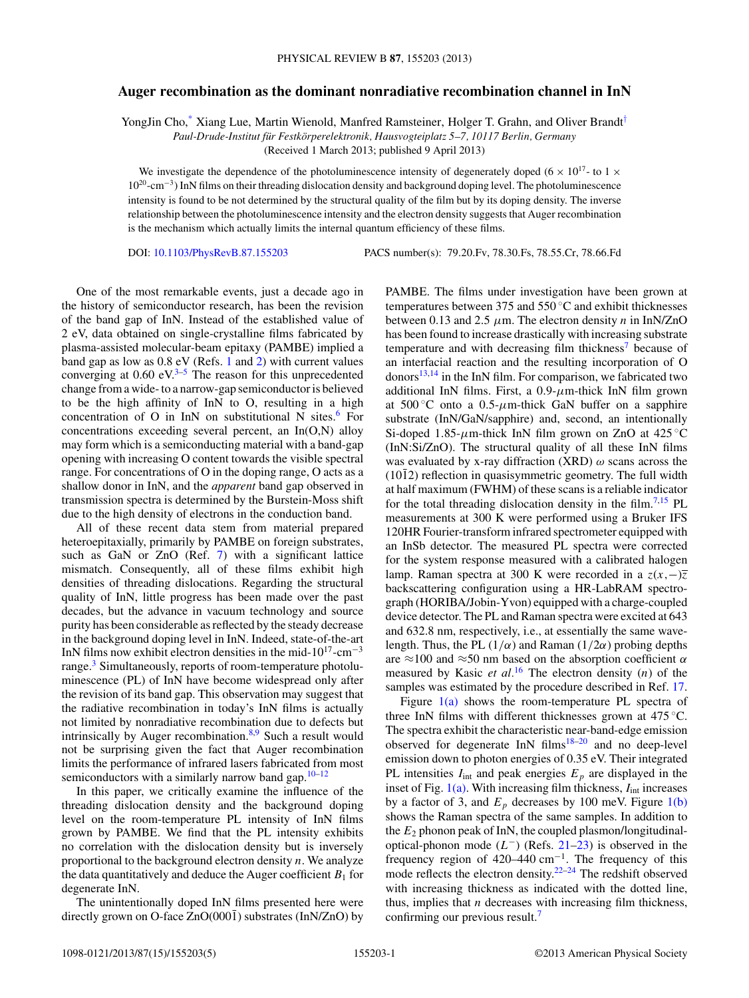## **Auger recombination as the dominant nonradiative recombination channel in InN**

YongJin Cho[,\\*](#page-3-0) Xiang Lue, Martin Wienold, Manfred Ramsteiner, Holger T. Grahn, and Oliver Brandt[†](#page-3-0)

*Paul-Drude-Institut fur Festk ¨ orperelektronik, Hausvogteiplatz 5–7, 10117 Berlin, Germany ¨*

(Received 1 March 2013; published 9 April 2013)

We investigate the dependence of the photoluminescence intensity of degenerately doped (6  $\times$  10<sup>17</sup>- to 1  $\times$ 1020-cm−3) InN films on their threading dislocation density and background doping level. The photoluminescence intensity is found to be not determined by the structural quality of the film but by its doping density. The inverse relationship between the photoluminescence intensity and the electron density suggests that Auger recombination is the mechanism which actually limits the internal quantum efficiency of these films.

DOI: [10.1103/PhysRevB.87.155203](http://dx.doi.org/10.1103/PhysRevB.87.155203) PACS number(s): 79*.*20*.*Fv, 78*.*30*.*Fs, 78*.*55*.*Cr, 78*.*66*.*Fd

One of the most remarkable events, just a decade ago in the history of semiconductor research, has been the revision of the band gap of InN. Instead of the established value of 2 eV, data obtained on single-crystalline films fabricated by plasma-assisted molecular-beam epitaxy (PAMBE) implied a band gap as low as 0.8 eV (Refs. [1](#page-3-0) and [2\)](#page-3-0) with current values converging at  $0.60 \text{ eV}^{3-5}$  The reason for this unprecedented change from a wide- to a narrow-gap semiconductor is believed to be the high affinity of InN to O, resulting in a high concentration of O in InN on substitutional N sites.<sup>[6](#page-3-0)</sup> For concentrations exceeding several percent, an In(O,N) alloy may form which is a semiconducting material with a band-gap opening with increasing O content towards the visible spectral range. For concentrations of O in the doping range, O acts as a shallow donor in InN, and the *apparent* band gap observed in transmission spectra is determined by the Burstein-Moss shift due to the high density of electrons in the conduction band.

All of these recent data stem from material prepared heteroepitaxially, primarily by PAMBE on foreign substrates, such as GaN or ZnO (Ref. [7\)](#page-3-0) with a significant lattice mismatch. Consequently, all of these films exhibit high densities of threading dislocations. Regarding the structural quality of InN, little progress has been made over the past decades, but the advance in vacuum technology and source purity has been considerable as reflected by the steady decrease in the background doping level in InN. Indeed, state-of-the-art InN films now exhibit electron densities in the mid- $10^{17}$ -cm<sup>-3</sup> range.<sup>[3](#page-3-0)</sup> Simultaneously, reports of room-temperature photoluminescence (PL) of InN have become widespread only after the revision of its band gap. This observation may suggest that the radiative recombination in today's InN films is actually not limited by nonradiative recombination due to defects but intrinsically by Auger recombination. $8,9$  Such a result would not be surprising given the fact that Auger recombination limits the performance of infrared lasers fabricated from most semiconductors with a similarly narrow band gap. $10-12$ 

In this paper, we critically examine the influence of the threading dislocation density and the background doping level on the room-temperature PL intensity of InN films grown by PAMBE. We find that the PL intensity exhibits no correlation with the dislocation density but is inversely proportional to the background electron density *n*. We analyze the data quantitatively and deduce the Auger coefficient  $B_1$  for degenerate InN.

The unintentionally doped InN films presented here were directly grown on O-face  $ZnO(000\bar{1})$  substrates (InN/ZnO) by PAMBE. The films under investigation have been grown at temperatures between 375 and 550 ◦C and exhibit thicknesses between 0.13 and 2*.*5 *μ*m. The electron density *n* in InN/ZnO has been found to increase drastically with increasing substrate temperature and with decreasing film thickness<sup>7</sup> because of an interfacial reaction and the resulting incorporation of O donors $13,14$  in the InN film. For comparison, we fabricated two additional InN films. First, a 0*.*9-*μ*m-thick InN film grown at  $500^{\circ}$ C onto a  $0.5$ - $\mu$ m-thick GaN buffer on a sapphire substrate (InN/GaN/sapphire) and, second, an intentionally Si-doped 1.85- $\mu$ m-thick InN film grown on ZnO at 425 °C (InN:Si/ZnO). The structural quality of all these InN films was evaluated by x-ray diffraction (XRD) *ω* scans across the  $(10\bar{1}2)$  reflection in quasisymmetric geometry. The full width at half maximum (FWHM) of these scans is a reliable indicator for the total threading dislocation density in the film.<sup>7,15</sup> PL measurements at 300 K were performed using a Bruker IFS 120HR Fourier-transform infrared spectrometer equipped with an InSb detector. The measured PL spectra were corrected for the system response measured with a calibrated halogen lamp. Raman spectra at 300 K were recorded in a  $z(x, -)\overline{z}$ backscattering configuration using a HR-LabRAM spectrograph (HORIBA/Jobin-Yvon) equipped with a charge-coupled device detector. The PL and Raman spectra were excited at 643 and 632.8 nm, respectively, i.e., at essentially the same wavelength. Thus, the PL  $(1/\alpha)$  and Raman  $(1/2\alpha)$  probing depths are ≈100 and ≈50 nm based on the absorption coefficient *α* measured by Kasic *et al.*[16](#page-3-0) The electron density (*n*) of the samples was estimated by the procedure described in Ref. [17.](#page-3-0)

Figure  $1(a)$  shows the room-temperature PL spectra of three InN films with different thicknesses grown at 475 ◦C. The spectra exhibit the characteristic near-band-edge emission observed for degenerate  $InN$  films<sup>18–20</sup> and no deep-level emission down to photon energies of 0.35 eV. Their integrated PL intensities  $I_{int}$  and peak energies  $E_p$  are displayed in the inset of Fig.  $1(a)$ . With increasing film thickness,  $I_{int}$  increases by a factor of 3, and  $E_p$  decreases by 100 meV. Figure [1\(b\)](#page-1-0) shows the Raman spectra of the same samples. In addition to the  $E_2$  phonon peak of InN, the coupled plasmon/longitudinaloptical-phonon mode (*L*−) (Refs. [21–23\)](#page-3-0) is observed in the frequency region of 420–440 cm−1. The frequency of this mode reflects the electron density.<sup>[22–24](#page-3-0)</sup> The redshift observed with increasing thickness as indicated with the dotted line, thus, implies that *n* decreases with increasing film thickness, confirming our previous result.<sup>7</sup>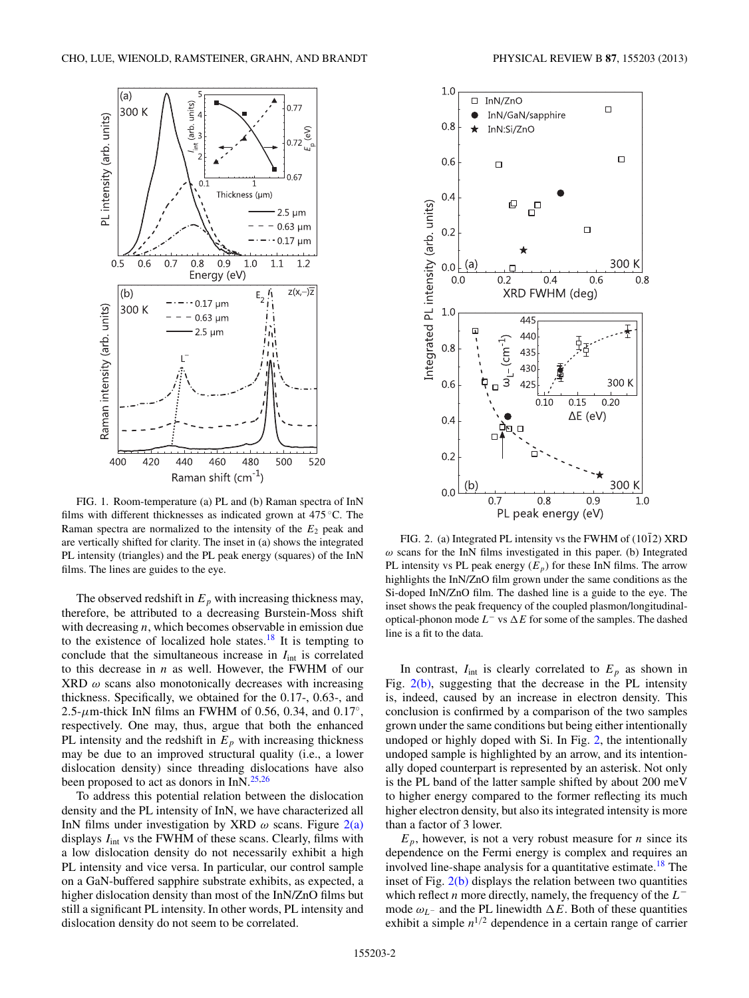<span id="page-1-0"></span>

FIG. 1. Room-temperature (a) PL and (b) Raman spectra of InN films with different thicknesses as indicated grown at 475 °C. The Raman spectra are normalized to the intensity of the  $E_2$  peak and are vertically shifted for clarity. The inset in (a) shows the integrated PL intensity (triangles) and the PL peak energy (squares) of the InN films. The lines are guides to the eye.

The observed redshift in  $E_p$  with increasing thickness may, therefore, be attributed to a decreasing Burstein-Moss shift with decreasing *n*, which becomes observable in emission due to the existence of localized hole states.<sup>18</sup> It is tempting to conclude that the simultaneous increase in  $I_{int}$  is correlated to this decrease in *n* as well. However, the FWHM of our XRD *ω* scans also monotonically decreases with increasing thickness. Specifically, we obtained for the 0.17-, 0.63-, and 2*.*5-*μ*m-thick InN films an FWHM of 0.56, 0.34, and 0*.*17◦, respectively. One may, thus, argue that both the enhanced PL intensity and the redshift in  $E_p$  with increasing thickness may be due to an improved structural quality (i.e., a lower dislocation density) since threading dislocations have also been proposed to act as donors in  $InN.<sup>25,26</sup>$  $InN.<sup>25,26</sup>$  $InN.<sup>25,26</sup>$ 

To address this potential relation between the dislocation density and the PL intensity of InN, we have characterized all InN films under investigation by XRD *ω* scans. Figure 2(a) displays  $I_{int}$  vs the FWHM of these scans. Clearly, films with a low dislocation density do not necessarily exhibit a high PL intensity and vice versa. In particular, our control sample on a GaN-buffered sapphire substrate exhibits, as expected, a higher dislocation density than most of the InN/ZnO films but still a significant PL intensity. In other words, PL intensity and dislocation density do not seem to be correlated.



FIG. 2. (a) Integrated PL intensity vs the FWHM of  $(10\bar{1}2)$  XRD *ω* scans for the InN films investigated in this paper. (b) Integrated PL intensity vs PL peak energy  $(E_p)$  for these InN films. The arrow highlights the InN/ZnO film grown under the same conditions as the Si-doped InN/ZnO film. The dashed line is a guide to the eye. The inset shows the peak frequency of the coupled plasmon/longitudinaloptical-phonon mode *L*<sup>−</sup> vs ∆*E* for some of the samples. The dashed line is a fit to the data.

In contrast,  $I_{int}$  is clearly correlated to  $E_p$  as shown in Fig. 2(b), suggesting that the decrease in the PL intensity is, indeed, caused by an increase in electron density. This conclusion is confirmed by a comparison of the two samples grown under the same conditions but being either intentionally undoped or highly doped with Si. In Fig. 2, the intentionally undoped sample is highlighted by an arrow, and its intentionally doped counterpart is represented by an asterisk. Not only is the PL band of the latter sample shifted by about 200 meV to higher energy compared to the former reflecting its much higher electron density, but also its integrated intensity is more than a factor of 3 lower.

 $E_p$ , however, is not a very robust measure for *n* since its dependence on the Fermi energy is complex and requires an involved line-shape analysis for a quantitative estimate.<sup>[18](#page-3-0)</sup> The inset of Fig.  $2(b)$  displays the relation between two quantities which reflect *n* more directly, namely, the frequency of the *L*<sup>−</sup> mode  $\omega_L$ − and the PL linewidth  $\Delta E$ . Both of these quantities exhibit a simple  $n^{1/2}$  dependence in a certain range of carrier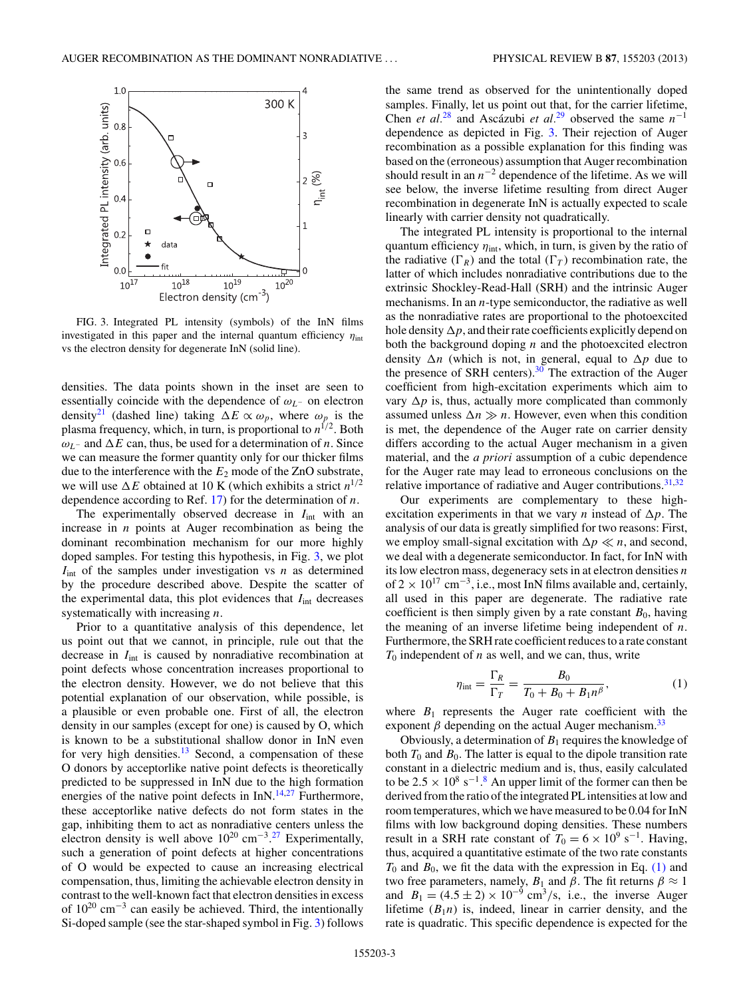<span id="page-2-0"></span>

FIG. 3. Integrated PL intensity (symbols) of the InN films investigated in this paper and the internal quantum efficiency *η*int vs the electron density for degenerate InN (solid line).

densities. The data points shown in the inset are seen to essentially coincide with the dependence of *ωL*<sup>−</sup> on electron density<sup>21</sup> (dashed line) taking  $\Delta E \propto \omega_p$ , where  $\omega_p$  is the plasma frequency, which, in turn, is proportional to  $n^{1/2}$ . Both  $ω$ <sup>*L*</sup>− and Δ*E* can, thus, be used for a determination of *n*. Since we can measure the former quantity only for our thicker films due to the interference with the *E*<sup>2</sup> mode of the ZnO substrate, we will use  $\Delta E$  obtained at 10 K (which exhibits a strict  $n^{1/2}$ dependence according to Ref. [17\)](#page-3-0) for the determination of *n*.

The experimentally observed decrease in  $I_{int}$  with an increase in *n* points at Auger recombination as being the dominant recombination mechanism for our more highly doped samples. For testing this hypothesis, in Fig. 3, we plot  $I_{int}$  of the samples under investigation vs  $n$  as determined by the procedure described above. Despite the scatter of the experimental data, this plot evidences that *I*int decreases systematically with increasing *n*.

Prior to a quantitative analysis of this dependence, let us point out that we cannot, in principle, rule out that the decrease in  $I_{int}$  is caused by nonradiative recombination at point defects whose concentration increases proportional to the electron density. However, we do not believe that this potential explanation of our observation, while possible, is a plausible or even probable one. First of all, the electron density in our samples (except for one) is caused by O, which is known to be a substitutional shallow donor in InN even for very high densities. $13$  Second, a compensation of these O donors by acceptorlike native point defects is theoretically predicted to be suppressed in InN due to the high formation energies of the native point defects in  $InN.<sup>14,27</sup>$  $InN.<sup>14,27</sup>$  $InN.<sup>14,27</sup>$  $InN.<sup>14,27</sup>$  Furthermore, these acceptorlike native defects do not form states in the gap, inhibiting them to act as nonradiative centers unless the electron density is well above  $10^{20}$  cm<sup>-3</sup>.<sup>[27](#page-4-0)</sup> Experimentally, such a generation of point defects at higher concentrations of O would be expected to cause an increasing electrical compensation, thus, limiting the achievable electron density in contrast to the well-known fact that electron densities in excess of  $10^{20}$  cm<sup>-3</sup> can easily be achieved. Third, the intentionally Si-doped sample (see the star-shaped symbol in Fig. 3) follows the same trend as observed for the unintentionally doped samples. Finally, let us point out that, for the carrier lifetime, Chen *et al.*<sup>[28](#page-4-0)</sup> and Ascázubi *et al.*<sup>[29](#page-4-0)</sup> observed the same  $n^{-1}$ dependence as depicted in Fig. 3. Their rejection of Auger recombination as a possible explanation for this finding was based on the (erroneous) assumption that Auger recombination should result in an  $n^{-2}$  dependence of the lifetime. As we will see below, the inverse lifetime resulting from direct Auger recombination in degenerate InN is actually expected to scale linearly with carrier density not quadratically.

The integrated PL intensity is proportional to the internal quantum efficiency *η*int, which, in turn, is given by the ratio of the radiative  $(\Gamma_R)$  and the total  $(\Gamma_T)$  recombination rate, the latter of which includes nonradiative contributions due to the extrinsic Shockley-Read-Hall (SRH) and the intrinsic Auger mechanisms. In an *n*-type semiconductor, the radiative as well as the nonradiative rates are proportional to the photoexcited hole density  $\Delta p$ , and their rate coefficients explicitly depend on both the background doping *n* and the photoexcited electron density  $\Delta n$  (which is not, in general, equal to  $\Delta p$  due to the presence of SRH centers). $30$  The extraction of the Auger coefficient from high-excitation experiments which aim to vary  $\Delta p$  is, thus, actually more complicated than commonly assumed unless  $\Delta n \gg n$ . However, even when this condition is met, the dependence of the Auger rate on carrier density differs according to the actual Auger mechanism in a given material, and the *a priori* assumption of a cubic dependence for the Auger rate may lead to erroneous conclusions on the relative importance of radiative and Auger contributions. $31,32$ 

Our experiments are complementary to these highexcitation experiments in that we vary *n* instead of  $\Delta p$ . The analysis of our data is greatly simplified for two reasons: First, we employ small-signal excitation with  $\Delta p \ll n$ , and second, we deal with a degenerate semiconductor. In fact, for InN with its low electron mass, degeneracy sets in at electron densities *n* of  $2 \times 10^{17}$  cm<sup>-3</sup>, i.e., most InN films available and, certainly, all used in this paper are degenerate. The radiative rate coefficient is then simply given by a rate constant  $B_0$ , having the meaning of an inverse lifetime being independent of *n*. Furthermore, the SRH rate coefficient reduces to a rate constant  $T_0$  independent of  $n$  as well, and we can, thus, write

$$
\eta_{\text{int}} = \frac{\Gamma_R}{\Gamma_T} = \frac{B_0}{T_0 + B_0 + B_1 n^{\beta}},\tag{1}
$$

where  $B_1$  represents the Auger rate coefficient with the exponent  $\beta$  depending on the actual Auger mechanism.<sup>[33](#page-4-0)</sup>

Obviously, a determination of *B*<sup>1</sup> requires the knowledge of both  $T_0$  and  $B_0$ . The latter is equal to the dipole transition rate constant in a dielectric medium and is, thus, easily calculated to be  $2.5 \times 10^8$  $2.5 \times 10^8$  s<sup>-1</sup>.<sup>8</sup> An upper limit of the former can then be derived from the ratio of the integrated PL intensities at low and room temperatures, which we have measured to be 0.04 for InN films with low background doping densities. These numbers result in a SRH rate constant of  $T_0 = 6 \times 10^9 \text{ s}^{-1}$ . Having, thus, acquired a quantitative estimate of the two rate constants  $T_0$  and  $B_0$ , we fit the data with the expression in Eq. (1) and two free parameters, namely,  $B_1$  and  $\beta$ . The fit returns  $\beta \approx 1$ and  $B_1 = (4.5 \pm 2) \times 10^{-9}$  cm<sup>3</sup>/s, i.e., the inverse Auger lifetime  $(B_1n)$  is, indeed, linear in carrier density, and the rate is quadratic. This specific dependence is expected for the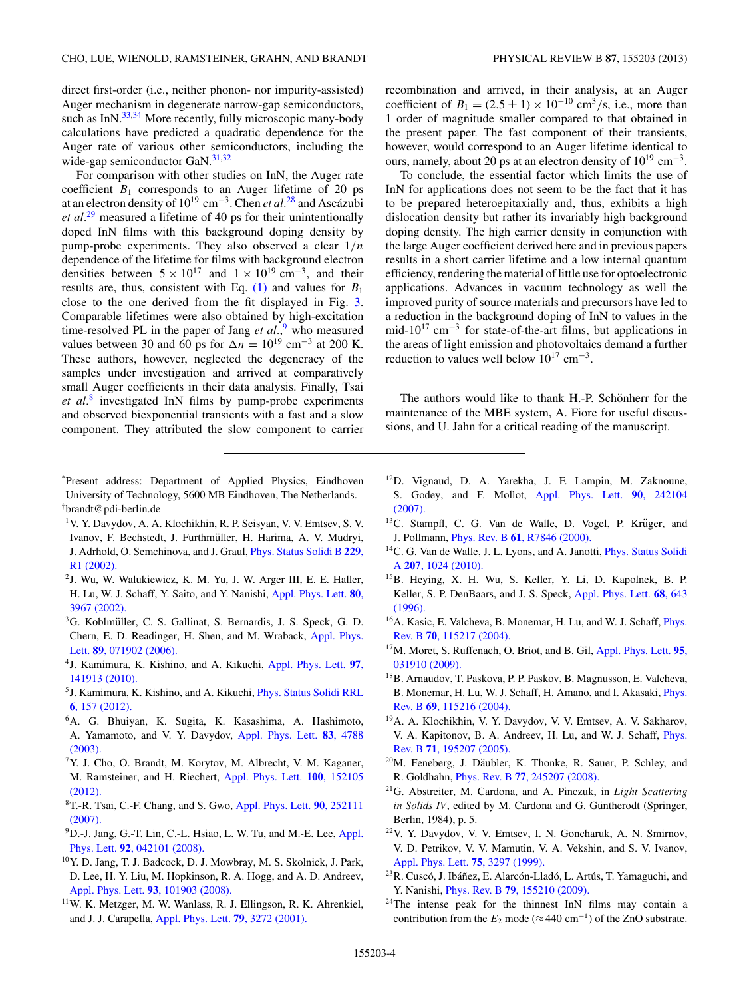<span id="page-3-0"></span>direct first-order (i.e., neither phonon- nor impurity-assisted) Auger mechanism in degenerate narrow-gap semiconductors, such as InN.<sup>[33,34](#page-4-0)</sup> More recently, fully microscopic many-body calculations have predicted a quadratic dependence for the Auger rate of various other semiconductors, including the wide-gap semiconductor GaN. $31,32$ 

For comparison with other studies on InN, the Auger rate coefficient  $B_1$  corresponds to an Auger lifetime of 20 ps at an electron density of 1019 cm−3. Chen *et al.*[28](#page-4-0) and Ascazubi ´ *et al.*[29](#page-4-0) measured a lifetime of 40 ps for their unintentionally doped InN films with this background doping density by pump-probe experiments. They also observed a clear 1*/n* dependence of the lifetime for films with background electron densities between  $5 \times 10^{17}$  and  $1 \times 10^{19}$  cm<sup>-3</sup>, and their results are, thus, consistent with Eq.  $(1)$  and values for  $B_1$ close to the one derived from the fit displayed in Fig. [3.](#page-2-0) Comparable lifetimes were also obtained by high-excitation time-resolved PL in the paper of Jang *et al.*,<sup>9</sup> who measured values between 30 and 60 ps for  $\Delta n = 10^{19}$  cm<sup>-3</sup> at 200 K. These authors, however, neglected the degeneracy of the samples under investigation and arrived at comparatively small Auger coefficients in their data analysis. Finally, Tsai *et al.*<sup>8</sup> investigated InN films by pump-probe experiments and observed biexponential transients with a fast and a slow component. They attributed the slow component to carrier

- \* Present address: Department of Applied Physics, Eindhoven University of Technology, 5600 MB Eindhoven, The Netherlands. † brandt@pdi-berlin.de
- 1V. Y. Davydov, A. A. Klochikhin, R. P. Seisyan, V. V. Emtsev, S. V. Ivanov, F. Bechstedt, J. Furthmuller, H. Harima, A. V. Mudryi, ¨ J. Adrhold, O. Semchinova, and J. Graul, [Phys. Status Solidi B](http://dx.doi.org/10.1002/1521-3951(200202)229:3<R1::AID-PSSB99991>3.0.CO;2-O) **229**, [R1 \(2002\).](http://dx.doi.org/10.1002/1521-3951(200202)229:3<R1::AID-PSSB99991>3.0.CO;2-O)
- 2J. Wu, W. Walukiewicz, K. M. Yu, J. W. Arger III, E. E. Haller, H. Lu, W. J. Schaff, Y. Saito, and Y. Nanishi, [Appl. Phys. Lett.](http://dx.doi.org/10.1063/1.1482786) **80**, [3967 \(2002\).](http://dx.doi.org/10.1063/1.1482786)
- <sup>3</sup>G. Koblmüller, C. S. Gallinat, S. Bernardis, J. S. Speck, G. D. Chern, E. D. Readinger, H. Shen, and M. Wraback, [Appl. Phys.](http://dx.doi.org/10.1063/1.2335685) Lett. **89**[, 071902 \(2006\).](http://dx.doi.org/10.1063/1.2335685)
- 4J. Kamimura, K. Kishino, and A. Kikuchi, [Appl. Phys. Lett.](http://dx.doi.org/10.1063/1.3488824) **97**, [141913 \(2010\).](http://dx.doi.org/10.1063/1.3488824)
- 5J. Kamimura, K. Kishino, and A. Kikuchi, [Phys. Status Solidi RRL](http://dx.doi.org/10.1002/pssr.201105532) **6**[, 157 \(2012\).](http://dx.doi.org/10.1002/pssr.201105532)
- 6A. G. Bhuiyan, K. Sugita, K. Kasashima, A. Hashimoto, A. Yamamoto, and V. Y. Davydov, [Appl. Phys. Lett.](http://dx.doi.org/10.1063/1.1632038) **83**, 4788 [\(2003\).](http://dx.doi.org/10.1063/1.1632038)
- 7Y. J. Cho, O. Brandt, M. Korytov, M. Albrecht, V. M. Kaganer, M. Ramsteiner, and H. Riechert, [Appl. Phys. Lett.](http://dx.doi.org/10.1063/1.3702572) **100**, 152105 [\(2012\).](http://dx.doi.org/10.1063/1.3702572)
- 8T.-R. Tsai, C.-F. Chang, and S. Gwo, [Appl. Phys. Lett.](http://dx.doi.org/10.1063/1.2751110) **90**, 252111 [\(2007\).](http://dx.doi.org/10.1063/1.2751110)
- <sup>9</sup>D.-J. Jang, G.-T. Lin, C.-L. Hsiao, L. W. Tu, and M.-E. Lee, [Appl.](http://dx.doi.org/10.1063/1.2837537) Phys. Lett. **92**[, 042101 \(2008\).](http://dx.doi.org/10.1063/1.2837537)
- 10Y. D. Jang, T. J. Badcock, D. J. Mowbray, M. S. Skolnick, J. Park, D. Lee, H. Y. Liu, M. Hopkinson, R. A. Hogg, and A. D. Andreev, [Appl. Phys. Lett.](http://dx.doi.org/10.1063/1.2975961) **93**, 101903 (2008).
- 11W. K. Metzger, M. W. Wanlass, R. J. Ellingson, R. K. Ahrenkiel, and J. J. Carapella, [Appl. Phys. Lett.](http://dx.doi.org/10.1063/1.1418032) **79**, 3272 (2001).

recombination and arrived, in their analysis, at an Auger coefficient of  $B_1 = (2.5 \pm 1) \times 10^{-10}$  cm<sup>3</sup>/s, i.e., more than 1 order of magnitude smaller compared to that obtained in the present paper. The fast component of their transients, however, would correspond to an Auger lifetime identical to ours, namely, about 20 ps at an electron density of  $10^{19}$  cm<sup>-3</sup>.

To conclude, the essential factor which limits the use of InN for applications does not seem to be the fact that it has to be prepared heteroepitaxially and, thus, exhibits a high dislocation density but rather its invariably high background doping density. The high carrier density in conjunction with the large Auger coefficient derived here and in previous papers results in a short carrier lifetime and a low internal quantum efficiency, rendering the material of little use for optoelectronic applications. Advances in vacuum technology as well the improved purity of source materials and precursors have led to a reduction in the background doping of InN to values in the mid-10<sup>17</sup> cm<sup>-3</sup> for state-of-the-art films, but applications in the areas of light emission and photovoltaics demand a further reduction to values well below  $10^{17}$  cm<sup>-3</sup>.

The authors would like to thank H.-P. Schönherr for the maintenance of the MBE system, A. Fiore for useful discussions, and U. Jahn for a critical reading of the manuscript.

- 12D. Vignaud, D. A. Yarekha, J. F. Lampin, M. Zaknoune, S. Godey, and F. Mollot, [Appl. Phys. Lett.](http://dx.doi.org/10.1063/1.2748336) **90**, 242104 [\(2007\).](http://dx.doi.org/10.1063/1.2748336)
- <sup>13</sup>C. Stampfl, C. G. Van de Walle, D. Vogel, P. Krüger, and J. Pollmann, Phys. Rev. B **61**[, R7846 \(2000\).](http://dx.doi.org/10.1103/PhysRevB.61.R7846)
- <sup>14</sup>C. G. Van de Walle, J. L. Lyons, and A. Janotti, *[Phys. Status Solidi](http://dx.doi.org/10.1002/pssa.200983122)* A **207**[, 1024 \(2010\).](http://dx.doi.org/10.1002/pssa.200983122)
- 15B. Heying, X. H. Wu, S. Keller, Y. Li, D. Kapolnek, B. P. Keller, S. P. DenBaars, and J. S. Speck, [Appl. Phys. Lett.](http://dx.doi.org/10.1063/1.116495) **68**, 643 [\(1996\).](http://dx.doi.org/10.1063/1.116495)
- <sup>16</sup>A. Kasic, E. Valcheva, B. Monemar, H. Lu, and W. J. Schaff, *[Phys.](http://dx.doi.org/10.1103/PhysRevB.70.115217)* Rev. B **70**[, 115217 \(2004\).](http://dx.doi.org/10.1103/PhysRevB.70.115217)
- 17M. Moret, S. Ruffenach, O. Briot, and B. Gil, [Appl. Phys. Lett.](http://dx.doi.org/10.1063/1.3187914) **95**, [031910 \(2009\).](http://dx.doi.org/10.1063/1.3187914)
- 18B. Arnaudov, T. Paskova, P. P. Paskov, B. Magnusson, E. Valcheva, B. Monemar, H. Lu, W. J. Schaff, H. Amano, and I. Akasaki, [Phys.](http://dx.doi.org/10.1103/PhysRevB.69.115216) Rev. B **69**[, 115216 \(2004\).](http://dx.doi.org/10.1103/PhysRevB.69.115216)
- 19A. A. Klochikhin, V. Y. Davydov, V. V. Emtsev, A. V. Sakharov, V. A. Kapitonov, B. A. Andreev, H. Lu, and W. J. Schaff, [Phys.](http://dx.doi.org/10.1103/PhysRevB.71.195207) Rev. B **71**[, 195207 \(2005\).](http://dx.doi.org/10.1103/PhysRevB.71.195207)
- $20$ M. Feneberg, J. Däubler, K. Thonke, R. Sauer, P. Schley, and R. Goldhahn, Phys. Rev. B **77**[, 245207 \(2008\).](http://dx.doi.org/10.1103/PhysRevB.77.245207)
- 21G. Abstreiter, M. Cardona, and A. Pinczuk, in *Light Scattering in Solids IV*, edited by M. Cardona and G. Güntherodt (Springer, Berlin, 1984), p. 5.
- 22V. Y. Davydov, V. V. Emtsev, I. N. Goncharuk, A. N. Smirnov, V. D. Petrikov, V. V. Mamutin, V. A. Vekshin, and S. V. Ivanov, [Appl. Phys. Lett.](http://dx.doi.org/10.1063/1.125330) **75**, 3297 (1999).
- <sup>23</sup>R. Cuscó, J. Ibáñez, E. Alarcón-Lladó, L. Artús, T. Yamaguchi, and Y. Nanishi, Phys. Rev. B **79**[, 155210 \(2009\).](http://dx.doi.org/10.1103/PhysRevB.79.155210)
- <sup>24</sup>The intense peak for the thinnest InN films may contain a contribution from the  $E_2$  mode ( $\approx$  440 cm<sup>-1</sup>) of the ZnO substrate.